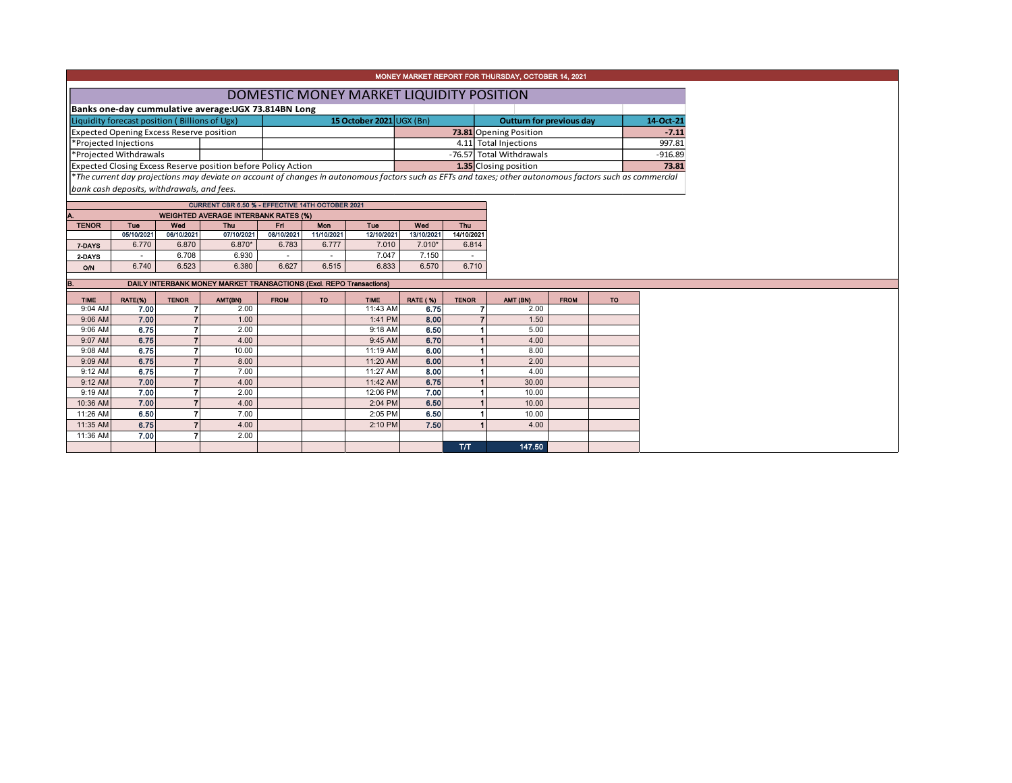|                                                                                                                           |                                                                               |                |                                                                     |             |            |                    |                   |              | MONEY MARKET REPORT FOR THURSDAY, OCTOBER 14, 2021                                                                                                       |             |           |       |  |  |  |
|---------------------------------------------------------------------------------------------------------------------------|-------------------------------------------------------------------------------|----------------|---------------------------------------------------------------------|-------------|------------|--------------------|-------------------|--------------|----------------------------------------------------------------------------------------------------------------------------------------------------------|-------------|-----------|-------|--|--|--|
|                                                                                                                           | DOMESTIC MONEY MARKET LIQUIDITY POSITION                                      |                |                                                                     |             |            |                    |                   |              |                                                                                                                                                          |             |           |       |  |  |  |
|                                                                                                                           | Banks one-day cummulative average: UGX 73.814BN Long                          |                |                                                                     |             |            |                    |                   |              |                                                                                                                                                          |             |           |       |  |  |  |
| Liquidity forecast position (Billions of Ugx)<br>15 October 2021 UGX (Bn)<br><b>Outturn for previous day</b><br>14-Oct-21 |                                                                               |                |                                                                     |             |            |                    |                   |              |                                                                                                                                                          |             |           |       |  |  |  |
|                                                                                                                           | Expected Opening Excess Reserve position<br>73.81 Opening Position<br>$-7.11$ |                |                                                                     |             |            |                    |                   |              |                                                                                                                                                          |             |           |       |  |  |  |
|                                                                                                                           | *Projected Injections                                                         |                |                                                                     |             |            |                    |                   |              | 4.11 Total Injections                                                                                                                                    |             | 997.81    |       |  |  |  |
| *Projected Withdrawals<br>-76.57 Total Withdrawals<br>$-916.89$                                                           |                                                                               |                |                                                                     |             |            |                    |                   |              |                                                                                                                                                          |             |           |       |  |  |  |
|                                                                                                                           |                                                                               |                | Expected Closing Excess Reserve position before Policy Action       |             |            |                    |                   |              | 1.35 Closing position                                                                                                                                    |             |           | 73.81 |  |  |  |
|                                                                                                                           |                                                                               |                |                                                                     |             |            |                    |                   |              | *The current day projections may deviate on account of changes in autonomous factors such as EFTs and taxes; other autonomous factors such as commercial |             |           |       |  |  |  |
|                                                                                                                           | bank cash deposits, withdrawals, and fees.                                    |                |                                                                     |             |            |                    |                   |              |                                                                                                                                                          |             |           |       |  |  |  |
|                                                                                                                           |                                                                               |                | CURRENT CBR 6.50 % - EFFECTIVE 14TH OCTOBER 2021                    |             |            |                    |                   |              |                                                                                                                                                          |             |           |       |  |  |  |
|                                                                                                                           |                                                                               |                | <b>WEIGHTED AVERAGE INTERBANK RATES (%)</b>                         |             |            |                    |                   |              |                                                                                                                                                          |             |           |       |  |  |  |
| <b>TENOR</b>                                                                                                              | Tue                                                                           | Wed            | <b>Thu</b>                                                          | Fri.        | Mon        | Tue                | Wed               | Thu          |                                                                                                                                                          |             |           |       |  |  |  |
|                                                                                                                           | 05/10/2021                                                                    | 06/10/2021     | 07/10/2021                                                          | 08/10/2021  | 11/10/2021 | 12/10/2021         | 13/10/2021        | 14/10/2021   |                                                                                                                                                          |             |           |       |  |  |  |
| 7-DAYS                                                                                                                    | 6.770                                                                         | 6.870<br>6.708 | $6.870*$<br>6.930                                                   | 6.783       | 6.777      | 7.010<br>7.047     | $7.010*$<br>7.150 | 6.814        |                                                                                                                                                          |             |           |       |  |  |  |
| 2 DAYS                                                                                                                    | 6.740                                                                         | 6.523          | 6.380                                                               | 6.627       | 6.515      | 6.833              | 6.570             | 6.710        |                                                                                                                                                          |             |           |       |  |  |  |
| O/N                                                                                                                       |                                                                               |                |                                                                     |             |            |                    |                   |              |                                                                                                                                                          |             |           |       |  |  |  |
| В.                                                                                                                        |                                                                               |                | DAILY INTERBANK MONEY MARKET TRANSACTIONS (Excl. REPO Transactions) |             |            |                    |                   |              |                                                                                                                                                          |             |           |       |  |  |  |
| <b>TIME</b>                                                                                                               | RATE(%)                                                                       | <b>TENOR</b>   | AMT(BN)                                                             | <b>FROM</b> | <b>TO</b>  | <b>TIME</b>        | <b>RATE (%)</b>   | <b>TENOR</b> | AMT (BN)                                                                                                                                                 | <b>FROM</b> | <b>TO</b> |       |  |  |  |
| 9:04 AM                                                                                                                   | 7.00                                                                          | 7              | 2.00                                                                |             |            | 11:43 AM           | 6.75              |              | $\overline{7}$<br>2.00                                                                                                                                   |             |           |       |  |  |  |
| 9:06 AM                                                                                                                   | 7.00                                                                          | $\overline{z}$ | 1.00                                                                |             |            | 1:41 PM            | 8.00              |              | $\overline{7}$<br>1.50                                                                                                                                   |             |           |       |  |  |  |
| 9:06 AM<br>9:07 AM                                                                                                        | 6.75<br>6.75                                                                  |                | 2.00<br>4.00                                                        |             |            | 9:18 AM<br>9:45 AM | 6.50<br>6.70      |              | 5.00<br>4.00                                                                                                                                             |             |           |       |  |  |  |
| 9:08 AM                                                                                                                   | 6.75                                                                          |                | 10.00                                                               |             |            | 11:19 AM           | 6.00              |              | 8.00                                                                                                                                                     |             |           |       |  |  |  |
| 9:09 AM                                                                                                                   | 6.75                                                                          |                | 8.00                                                                |             |            | 11:20 AM           | 6.00              |              | 2.00                                                                                                                                                     |             |           |       |  |  |  |
| $9:12$ AM                                                                                                                 | 6.75                                                                          |                | 7.00                                                                |             |            | 11:27 AM           | 8.00              |              | 4.00                                                                                                                                                     |             |           |       |  |  |  |
| 9:12 AM                                                                                                                   | 7.00                                                                          |                | 4.00                                                                |             |            | 11:42 AM           | 6.75              |              | 30.00                                                                                                                                                    |             |           |       |  |  |  |
| 9:19 AM                                                                                                                   | 7.00                                                                          | $\overline{ }$ | 2.00                                                                |             |            | 12:06 PM           | 7.00              |              | 10.00                                                                                                                                                    |             |           |       |  |  |  |
| 10:36 AM                                                                                                                  | 7.00                                                                          |                | 4.00                                                                |             |            | 2:04 PM            | 6.50              |              | 10.00                                                                                                                                                    |             |           |       |  |  |  |
| 11:26 AM                                                                                                                  | 6.50                                                                          | 7              | 7.00                                                                |             |            | 2:05 PM            | 6.50              |              | 10.00                                                                                                                                                    |             |           |       |  |  |  |
| 11:35 AM                                                                                                                  | 6.75                                                                          | 7              | 4.00                                                                |             |            |                    | 7.50              |              | 4.00                                                                                                                                                     |             |           |       |  |  |  |
|                                                                                                                           |                                                                               |                |                                                                     |             |            | 2:10 PM            |                   |              |                                                                                                                                                          |             |           |       |  |  |  |
| 11:36 AM                                                                                                                  | 7.00                                                                          | 7              | 2.00                                                                |             |            |                    |                   | T/T          | 147.50                                                                                                                                                   |             |           |       |  |  |  |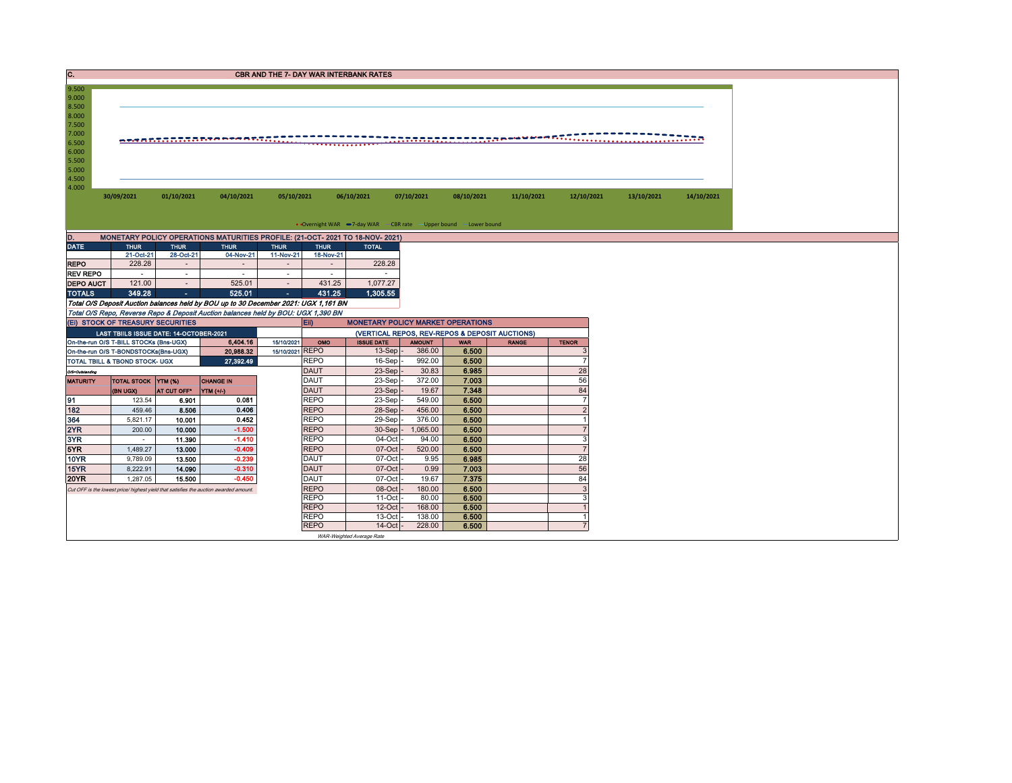| C.                                                 |                                              |                  |                                                                                      |                  |                            | <b>CBR AND THE 7- DAY WAR INTERBANK RATES</b> |                                                                   |                |              |                      |            |            |
|----------------------------------------------------|----------------------------------------------|------------------|--------------------------------------------------------------------------------------|------------------|----------------------------|-----------------------------------------------|-------------------------------------------------------------------|----------------|--------------|----------------------|------------|------------|
| 9.500<br>9.000<br>8.500<br>8.000<br>7.500<br>7.000 |                                              |                  |                                                                                      |                  |                            |                                               |                                                                   |                |              |                      |            |            |
| 6.500<br>6.000<br>5.500<br>5.000<br>4.500<br>4.000 | <u>ng ng papalalalalang Persecution</u><br>. |                  |                                                                                      |                  |                            |                                               |                                                                   |                |              |                      |            |            |
|                                                    | 30/09/2021                                   | 01/10/2021       | 04/10/2021                                                                           | 05/10/2021       |                            | 06/10/2021                                    | 07/10/2021                                                        | 08/10/2021     | 11/10/2021   | 12/10/2021           | 13/10/2021 | 14/10/2021 |
|                                                    |                                              |                  |                                                                                      |                  |                            |                                               | • Overnight WAR -7-day WAR - CBR rate - Upper bound - Lower bound |                |              |                      |            |            |
| D.                                                 |                                              |                  | MONETARY POLICY OPERATIONS MATURITIES PROFILE: (21-OCT- 2021 TO 18-NOV- 2021)        |                  |                            |                                               |                                                                   |                |              |                      |            |            |
| <b>DATE</b>                                        | <b>THUR</b>                                  | <b>THUR</b>      | <b>THUR</b>                                                                          | <b>THUR</b>      | <b>THUR</b>                | <b>TOTAL</b>                                  |                                                                   |                |              |                      |            |            |
|                                                    | 21-Oct-21                                    | 28-Oct-21        | 04-Nov-21                                                                            | 11-Nov-21        | 18-Nov-21                  |                                               |                                                                   |                |              |                      |            |            |
| <b>REPO</b>                                        | 228.28                                       | $\sim$           | $\sim$                                                                               | $\sim$           |                            | 228.28                                        |                                                                   |                |              |                      |            |            |
| <b>REV REPO</b>                                    | $\sim$                                       | $\sim$           | $\sim$                                                                               | $\sim$           | $\sim$                     | $\sim$                                        |                                                                   |                |              |                      |            |            |
| <b>DEPO AUCT</b>                                   | 121.00<br>349.28                             | $\sim$           | 525.01<br>525.01                                                                     | $\sim$<br>$\sim$ | 431.25<br>431.25           | 1,077.27<br>1.305.55                          |                                                                   |                |              |                      |            |            |
| <b>TOTALS</b>                                      |                                              | $\Delta \sim 10$ |                                                                                      |                  |                            |                                               |                                                                   |                |              |                      |            |            |
|                                                    |                                              |                  |                                                                                      |                  |                            |                                               |                                                                   |                |              |                      |            |            |
|                                                    |                                              |                  | Total O/S Deposit Auction balances held by BOU up to 30 December 2021: UGX 1,161 BN  |                  |                            |                                               |                                                                   |                |              |                      |            |            |
|                                                    |                                              |                  | Total O/S Repo, Reverse Repo & Deposit Auction balances held by BOU: UGX 1,390 BN    |                  |                            |                                               |                                                                   |                |              |                      |            |            |
|                                                    | (EI) STOCK OF TREASURY SECURITIES            |                  |                                                                                      |                  | Eii)                       |                                               | <b>MONETARY POLICY MARKET OPERATIONS</b>                          |                |              |                      |            |            |
|                                                    | LAST TBIILS ISSUE DATE: 14-OCTOBER-2021      |                  |                                                                                      |                  |                            |                                               | (VERTICAL REPOS, REV-REPOS & DEPOSIT AUCTIONS)                    |                |              |                      |            |            |
|                                                    | On-the-run O/S T-BILL STOCKs (Bns-UGX)       |                  | 6,404.16                                                                             | 15/10/2021       | OMO                        | <b>ISSUE DATE</b>                             | <b>AMOUNT</b>                                                     | <b>WAR</b>     | <b>RANGE</b> | <b>TENOR</b>         |            |            |
|                                                    | On-the-run O/S T-BONDSTOCKs(Bns-UGX)         |                  | 20,988.32                                                                            | 15/10/2021 REPO  |                            | $13-Sep$ -                                    | 386.00                                                            | 6.500          |              | 3                    |            |            |
|                                                    | TOTAL TBILL & TBOND STOCK- UGX               |                  | 27,392.49                                                                            |                  | <b>REPO</b>                | 16-Sep                                        | 992.00                                                            | 6.500          |              | $\overline{7}$       |            |            |
| O/S=Outstanding                                    |                                              |                  |                                                                                      |                  | <b>DAUT</b>                | $23-Sep$                                      | 30.83                                                             | 6.985          |              | 28                   |            |            |
| <b>MATURITY</b>                                    | TOTAL STOCK YTM (%)                          |                  | <b>CHANGE IN</b>                                                                     |                  | <b>DAUT</b>                | 23-Sep                                        | 372.00                                                            | 7.003          |              | 56                   |            |            |
|                                                    | (BN UGX)                                     | AT CUT OFF*      | YTM (+/-)                                                                            |                  | <b>DAUT</b>                | 23-Sep                                        | 19.67                                                             | 7.348          |              | 84<br>$\overline{7}$ |            |            |
| 91                                                 | 123.54                                       | 6.901            | 0.081<br>0.406                                                                       |                  | <b>REPO</b>                | 23-Sep                                        | 549.00                                                            | 6.500          |              |                      |            |            |
| 182                                                | 459.46                                       | 8.506            |                                                                                      |                  | <b>REPO</b>                | 28-Sep                                        | 456.00                                                            | 6.500          |              | $\overline{2}$       |            |            |
| 364                                                | 5,821.17                                     | 10.001           | 0.452                                                                                |                  | <b>REPO</b>                | 29-Sep                                        | 376.00                                                            | 6.500          |              |                      |            |            |
| 2YR                                                | 200.00                                       | 10.000           | $-1.500$                                                                             |                  | <b>REPO</b>                | $30-Sep$ -                                    | 1,065.00                                                          | 6.500          |              | $\overline{7}$       |            |            |
| 3YR                                                | $\sim$                                       | 11.390           | $-1.410$                                                                             |                  | <b>REPO</b>                | 04-Oct                                        | 94.00                                                             | 6.500          |              | 3                    |            |            |
| 5YR                                                | 1,489.27                                     | 13.000           | $-0.409$<br>$-0.239$                                                                 |                  | <b>REPO</b>                | 07-Oct                                        | 520.00                                                            | 6.500          |              | $\overline{7}$       |            |            |
| 10YR                                               | 9,789.09                                     | 13.500           |                                                                                      |                  | <b>DAUT</b>                | 07-Oct                                        | 9.95                                                              | 6.985          |              | 28                   |            |            |
| 15YR                                               | 8.222.91                                     | 14.090           | $-0.310$                                                                             |                  | <b>DAUT</b>                | 07-Oct                                        | 0.99                                                              | 7.003          |              | 56                   |            |            |
| <b>20YR</b>                                        | 1,287.05                                     | 15.500           | $-0.450$                                                                             |                  | <b>DAUT</b>                | 07-Oct                                        | 19.67                                                             | 7.375          |              | 84                   |            |            |
|                                                    |                                              |                  | Cut OFF is the lowest price/highest yield that satisfies the auction awarded amount. |                  | <b>REPO</b>                | 08-Oct                                        | 180.00                                                            | 6.500          |              | $\mathbf{3}$         |            |            |
|                                                    |                                              |                  |                                                                                      |                  | <b>REPO</b>                | 11-Oct                                        | 80.00                                                             | 6.500          |              | 3<br>$\overline{1}$  |            |            |
|                                                    |                                              |                  |                                                                                      |                  | <b>REPO</b>                | $12$ -Oct                                     | 168.00                                                            | 6.500          |              | $\mathbf{1}$         |            |            |
|                                                    |                                              |                  |                                                                                      |                  | <b>REPO</b><br><b>REPO</b> | 13-Oct<br>$14$ -Oct $-$                       | 138.00<br>228.00                                                  | 6.500<br>6.500 |              | $\overline{7}$       |            |            |